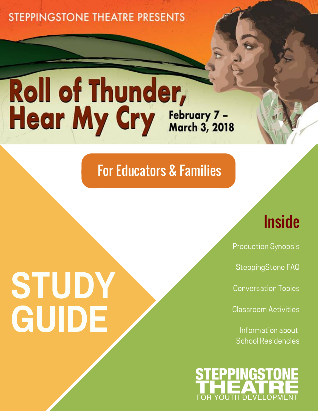### **STEPPINGSTONE THEATRE PRESENTS**

# **Roll of Thunder,<br>Hear My Cry February 7-**

### For Educators & Families

## **Inside**

Production Synopsis

SteppingStone FAQ

Conversation Topics

Classroom Activities

Information about School Residencies



# **STUDY GUIDE**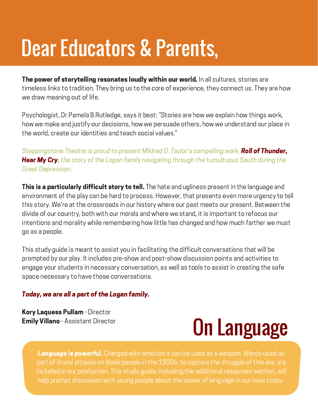# Dear Educators & Parents,

The power of storytelling resonates loudly within our world. In all cultures, stories are timeless links to tradition. They bring us to the core of experience, they connect us. They are how we draw meaning out of life.

Psychologist, Dr.Pamela B.Rutledge, says it best: "Stories are how we explain how things work, how we make and justify our decisions, how we persuade others, how we understand our place in the world, create our identities and teach social values."

Steppingstone Theatre is proud to present Mildred D. Taylor's compelling work, **Roll of Thunder,** Hear My Cry, the story of the Logan family navigating through the tumultuous South during the Great Depression.

**This is a particularly difficult story to tell.** The hate and ugliness present in the language and environment of the play can be hard to process. However, that presents even more urgency to tell this story. We're at the crossroads in our history where our past meets our present. Between the divide of our country, both with our morals and where we stand, it is important to refocus our intentions and morality while remembering how little has changed and how much farther we must go as a people.

This study guide is meant to assist you in facilitating the difficult conversations that will be prompted by our play. It includes pre-show and post-show discussion points and activities to engage your students in necessary conversation, as well as tools to assist in creating the safe space necessary to have those conversations.

#### Today, we are all a part of the Logan family.

**Kory Laquess Pullam - Director Emily Villano** - Assistant Director

# On Language

**Language is powerful.** Charged with emotion it can be used as a weapon. Words used as part of brutal attacks on black people in the 1930s, to capture the struggle of this era, are help prompt discussion with young people about the power of language in our lives today.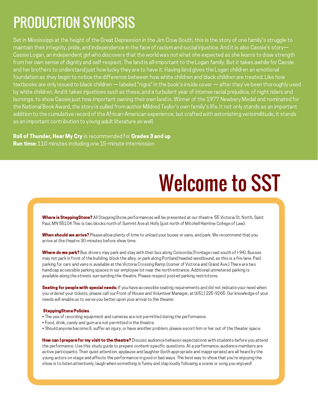### PRODUCTION SYNOPSIS

Set in Mississippi at the height of the Great Depression in the Jim Crow South, this is the story of one family's struggle to maintain their integrity, pride, and independence in the face of racism and social injustice. And it is also Cassie's story— Cassie Logan, an independent girl who discovers that the world was not what she expected as she learns to draw strength from her own sense of dignity and self-respect. The land is all-important to the Logan family. But it takes awhile for Cassie and her brothers to understand just how lucky they are to have it. Having land gives the Logan children an emotional foundation as they begin to notice the difference between how white children and black children are treated. Like how textbooks are only issued to black children — labeled "nigra" in the book's inside cover — after they've been thoroughly used by white children. And it takes injustices such as these, and a turbulent year of intense racial prejudice, of night riders and burnings, to show Cassie just how important owning their own land is. Winner of the 1977 Newbery Medal and nominated for the National Book Award, the story is culled from author Mildred Taylor's own family's life. It not only stands as an important addition to the cumulative record of the African-American experience, but crafted with astonishing verisimilitude, it stands as an important contribution to young adult literature as well.

#### Roll of Thunder, Hear My Cry is recommended for Grades 3 and up **Run time:** 110 minutes including one 15-minute intermission

# Welcome to SST

Where is SteppingStone? All SteppingStone performances will be presented at our theatre: 55 Victoria St. North, Saint Paul, MN 55104 This is two blocks north of Summit Ave at Holly (just north of Mitchell Hamline College of Law).

When should we arrive? Please allow plenty of time to unload your buses or vans, and park. We recommend that you arrive at the theatre 30-minutes before show time.

Where do we park? Bus drivers may park and stay with their bus along Concordia (frontage road south of I-94). Busses may not park in front of the building, block the alley, or park along Portland headed westbound, as this is a fire lane. Paid parking for cars and vans is available at the Victoria Crossing Ramp (corner of Victoria and Grand Ave.) There are two handicap accessible parking spaces in our employee lot near the north entrance. Additional unmetered parking is available along the streets surrounding the theatre. Please respect posted parking restrictions.

Seating for people with special needs: If you have accessible seating requirements and did not indicate your need when you ordered your tickets, please call our Front of House and Volunteer Manager, at (651) 225-9265. Our knowledge of your needs will enable us to serve you better upon your arrival to the theater.

#### SteppingStone Policies

- The use of recording equipment and cameras are not permitted during the performance.
- Food, drink, candy and gum are not permitted in the theatre.
- Should anyone become ill, suffer an injury, or have another problem, please escort him or her out of the theater space.

How can I prepare for my visit to the theatre? Discuss audience behavior expectations with students before you attend the performance. Use this study guide to prepare content-specific questions. At a performance, audience members are active participants. Their quiet attention, applause and laughter (both appropriate and inappropriate) are all heard by the young actors on stage and affects the performance in good or bad ways. The best way to show that you're enjoying the show is to listen attentively, laugh when something is funny and clap loudly following a scene or song you enjoyed!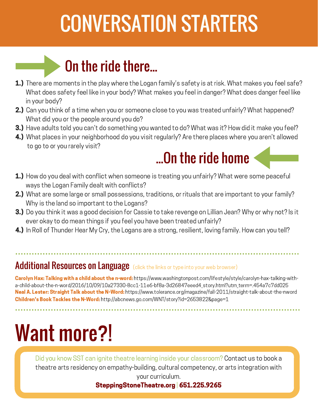# CONVERSATION STARTERS

### On the ride there...

- 1.) There are moments in the play where the Logan family's safety is at risk. What makes you feel safe? What does safety feel like in your body? What makes you feel in danger? What does danger feel like in your body?
- 2.) Can you think of a time when you or someone close to you was treated unfairly? What happened? What did you or the people around you do?
- 3.) Have adults told you can't do something you wanted to do? What was it? How did it make you feel?
- 4.) What places in your neighborhood do you visit regularly? Are there places where you aren't allowed to go to or you rarely visit?

### ...On the ride home

- **1.)** How do you deal with conflict when someone is treating you unfairly? What were some peaceful ways the Logan Family dealt with conflicts?
- 2.) What are some large or small possessions, traditions, or rituals that are important to your family? Why is the land so important to the Logans?
- **3.)** Do you think it was a good decision for Cassie to take revenge on Lillian Jean? Why or why not? Is it ever okay to do mean things if you feel you have been treated unfairly?
- 4.) In Roll of Thunder Hear My Cry, the Logans are a strong, resilient, loving family. How can you tell?

#### Additional Resources on Language (click the links or type into your web browser)

Carolyn Hax: Talking with a child about the n-word: https://www.washingtonpost.com/lifestyle/style/carolyn-hax-talking-with[a-child-about-the-n-word/2016/10/09/10a27330-8cc1-11e6-bf8a-3d26847eeed4\\_story.html?utm\\_term=.454a7c7dd025](https://www.washingtonpost.com/lifestyle/style/carolyn-hax-talking-with-a-child-about-the-n-word/2016/10/09/10a27330-8cc1-11e6-bf8a-3d26847eeed4_story.html?utm_term=.ea87c5000ffe) Neal A. Lester: Straight Talk about the N-Word: <https://www.tolerance.org/magazine/fall-2011/straight-talk-about-the-nword> Children's Book Tackles the N-Word: <http://abcnews.go.com/WNT/story?id=2653822&page=1>

# Want more?!

Did you know SST can ignite theatre learning inside your classroom? Contact us to book a theatre arts residency on empathy-building, cultural competency, or arts integration with your curriculum.

#### SteppingStoneTheatre.org | 651.225.9265